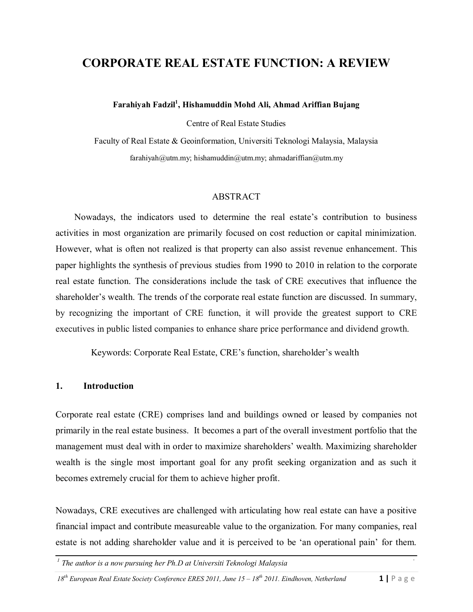# **CORPORATE REAL ESTATE FUNCTION: A REVIEW**

**Farahiyah Fadzil<sup>1</sup> , Hishamuddin Mohd Ali, Ahmad Ariffian Bujang**

Centre of Real Estate Studies

Faculty of Real Estate & Geoinformation, Universiti Teknologi Malaysia, Malaysia [farahiyah@utm.my](mailto:farahiyah@utm.m); [hishamuddin@utm.my;](mailto:hishamuddin@utm.my) ahma[dariffian@utm.my](mailto:ariffian@utm.my)

#### ABSTRACT

Nowadays, the indicators used to determine the real estate"s contribution to business activities in most organization are primarily focused on cost reduction or capital minimization. However, what is often not realized is that property can also assist revenue enhancement. This paper highlights the synthesis of previous studies from 1990 to 2010 in relation to the corporate real estate function. The considerations include the task of CRE executives that influence the shareholder's wealth. The trends of the corporate real estate function are discussed. In summary, by recognizing the important of CRE function, it will provide the greatest support to CRE executives in public listed companies to enhance share price performance and dividend growth.

Keywords: Corporate Real Estate, CRE's function, shareholder's wealth

#### **1. Introduction**

Corporate real estate (CRE) comprises land and buildings owned or leased by companies not primarily in the real estate business. It becomes a part of the overall investment portfolio that the management must deal with in order to maximize shareholders' wealth. Maximizing shareholder wealth is the single most important goal for any profit seeking organization and as such it becomes extremely crucial for them to achieve higher profit.

Nowadays, CRE executives are challenged with articulating how real estate can have a positive financial impact and contribute measureable value to the organization. For many companies, real estate is not adding shareholder value and it is perceived to be "an operational pain" for them.

*1 The author is a now pursuing her Ph.D at Universiti Teknologi Malaysia*

18<sup>*th*</sup> *European Real Estate Society Conference ERES 2011, June 15 – 18<sup>th</sup> 2011. Eindhoven, Netherland 1 | P a g e*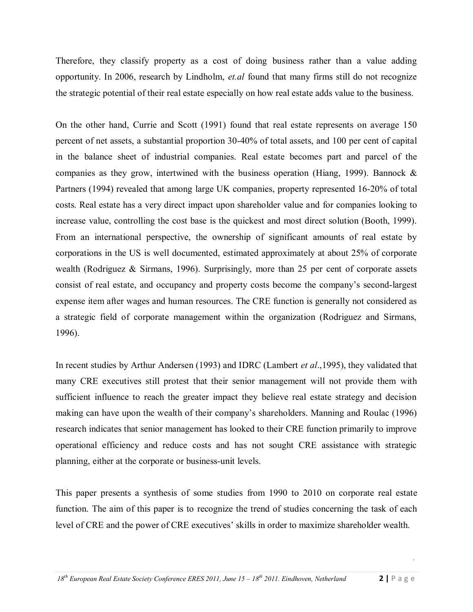Therefore, they classify property as a cost of doing business rather than a value adding opportunity. In 2006, research by Lindholm, *et.al* found that many firms still do not recognize the strategic potential of their real estate especially on how real estate adds value to the business.

On the other hand, Currie and Scott (1991) found that real estate represents on average 150 percent of net assets, a substantial proportion 30-40% of total assets, and 100 per cent of capital in the balance sheet of industrial companies. Real estate becomes part and parcel of the companies as they grow, intertwined with the business operation (Hiang, 1999). Bannock  $\&$ Partners (1994) revealed that among large UK companies, property represented 16-20% of total costs. Real estate has a very direct impact upon shareholder value and for companies looking to increase value, controlling the cost base is the quickest and most direct solution (Booth, 1999). From an international perspective, the ownership of significant amounts of real estate by corporations in the US is well documented, estimated approximately at about 25% of corporate wealth (Rodriguez & Sirmans, 1996). Surprisingly, more than 25 per cent of corporate assets consist of real estate, and occupancy and property costs become the company"s second-largest expense item after wages and human resources. The CRE function is generally not considered as a strategic field of corporate management within the organization (Rodriguez and Sirmans, 1996).

In recent studies by Arthur Andersen (1993) and IDRC (Lambert *et al*.,1995), they validated that many CRE executives still protest that their senior management will not provide them with sufficient influence to reach the greater impact they believe real estate strategy and decision making can have upon the wealth of their company"s shareholders. Manning and Roulac (1996) research indicates that senior management has looked to their CRE function primarily to improve operational efficiency and reduce costs and has not sought CRE assistance with strategic planning, either at the corporate or business-unit levels.

This paper presents a synthesis of some studies from 1990 to 2010 on corporate real estate function. The aim of this paper is to recognize the trend of studies concerning the task of each level of CRE and the power of CRE executives' skills in order to maximize shareholder wealth.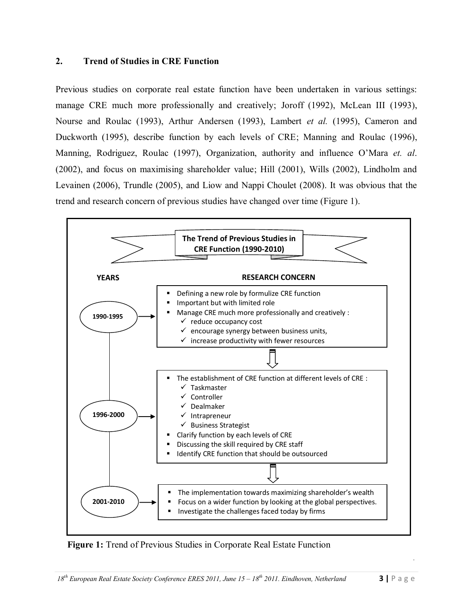#### **2. Trend of Studies in CRE Function**

Previous studies on corporate real estate function have been undertaken in various settings: manage CRE much more professionally and creatively; Joroff (1992), McLean III (1993), Nourse and Roulac (1993), Arthur Andersen (1993), Lambert *et al.* (1995), Cameron and Duckworth (1995), describe function by each levels of CRE; Manning and Roulac (1996), Manning, Rodriguez, Roulac (1997), Organization, authority and influence O"Mara *et. al*. (2002), and focus on maximising shareholder value; Hill (2001), Wills (2002), Lindholm and Levainen (2006), Trundle (2005), and Liow and Nappi Choulet (2008). It was obvious that the trend and research concern of previous studies have changed over time (Figure 1).



 **Figure 1:** Trend of Previous Studies in Corporate Real Estate Function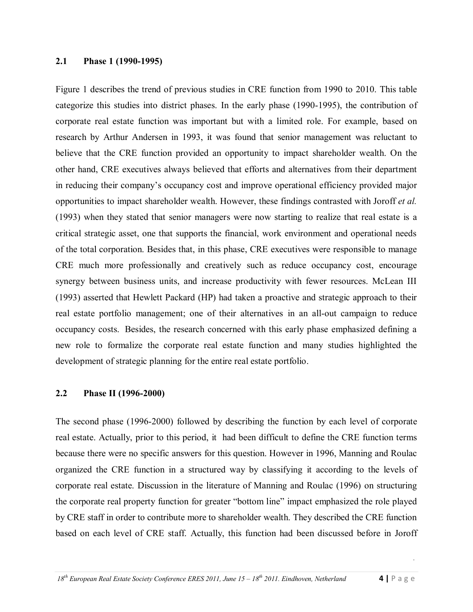#### **2.1 Phase 1 (1990-1995)**

Figure 1 describes the trend of previous studies in CRE function from 1990 to 2010. This table categorize this studies into district phases. In the early phase (1990-1995), the contribution of corporate real estate function was important but with a limited role. For example, based on research by Arthur Andersen in 1993, it was found that senior management was reluctant to believe that the CRE function provided an opportunity to impact shareholder wealth. On the other hand, CRE executives always believed that efforts and alternatives from their department in reducing their company"s occupancy cost and improve operational efficiency provided major opportunities to impact shareholder wealth. However, these findings contrasted with Joroff *et al.* (1993) when they stated that senior managers were now starting to realize that real estate is a critical strategic asset, one that supports the financial, work environment and operational needs of the total corporation. Besides that, in this phase, CRE executives were responsible to manage CRE much more professionally and creatively such as reduce occupancy cost, encourage synergy between business units, and increase productivity with fewer resources. McLean III (1993) asserted that Hewlett Packard (HP) had taken a proactive and strategic approach to their real estate portfolio management; one of their alternatives in an all-out campaign to reduce occupancy costs. Besides, the research concerned with this early phase emphasized defining a new role to formalize the corporate real estate function and many studies highlighted the development of strategic planning for the entire real estate portfolio.

#### **2.2 Phase II (1996-2000)**

The second phase (1996-2000) followed by describing the function by each level of corporate real estate. Actually, prior to this period, it had been difficult to define the CRE function terms because there were no specific answers for this question. However in 1996, Manning and Roulac organized the CRE function in a structured way by classifying it according to the levels of corporate real estate. Discussion in the literature of Manning and Roulac (1996) on structuring the corporate real property function for greater "bottom line" impact emphasized the role played by CRE staff in order to contribute more to shareholder wealth. They described the CRE function based on each level of CRE staff. Actually, this function had been discussed before in Joroff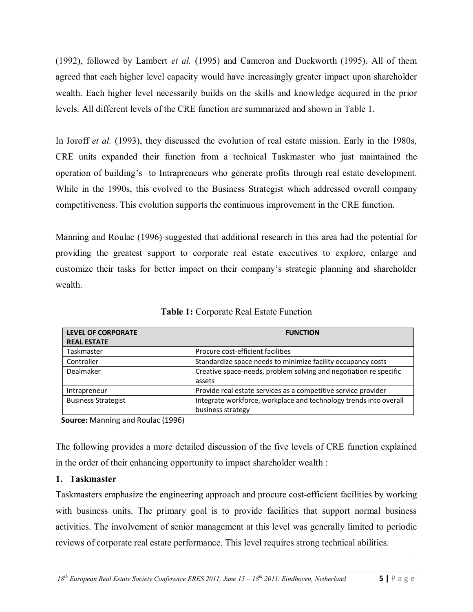(1992), followed by Lambert *et al.* (1995) and Cameron and Duckworth (1995). All of them agreed that each higher level capacity would have increasingly greater impact upon shareholder wealth. Each higher level necessarily builds on the skills and knowledge acquired in the prior levels. All different levels of the CRE function are summarized and shown in Table 1.

In Joroff *et al.* (1993), they discussed the evolution of real estate mission. Early in the 1980s, CRE units expanded their function from a technical Taskmaster who just maintained the operation of building"s to Intrapreneurs who generate profits through real estate development. While in the 1990s, this evolved to the Business Strategist which addressed overall company competitiveness. This evolution supports the continuous improvement in the CRE function.

Manning and Roulac (1996) suggested that additional research in this area had the potential for providing the greatest support to corporate real estate executives to explore, enlarge and customize their tasks for better impact on their company"s strategic planning and shareholder wealth.

| <b>LEVEL OF CORPORATE</b>  | <b>FUNCTION</b>                                                   |
|----------------------------|-------------------------------------------------------------------|
| <b>REAL ESTATE</b>         |                                                                   |
| Taskmaster                 | Procure cost-efficient facilities                                 |
| Controller                 | Standardize space needs to minimize facility occupancy costs      |
| Dealmaker                  | Creative space-needs, problem solving and negotiation re specific |
|                            | assets                                                            |
| Intrapreneur               | Provide real estate services as a competitive service provider    |
| <b>Business Strategist</b> | Integrate workforce, workplace and technology trends into overall |
|                            | business strategy                                                 |

**Table 1:** Corporate Real Estate Function

 **Source:** Manning and Roulac (1996)

The following provides a more detailed discussion of the five levels of CRE function explained in the order of their enhancing opportunity to impact shareholder wealth :

# **1. Taskmaster**

Taskmasters emphasize the engineering approach and procure cost-efficient facilities by working with business units. The primary goal is to provide facilities that support normal business activities. The involvement of senior management at this level was generally limited to periodic reviews of corporate real estate performance. This level requires strong technical abilities.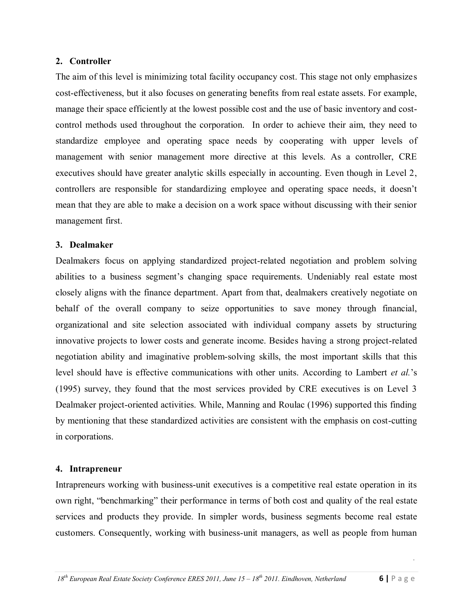## **2. Controller**

The aim of this level is minimizing total facility occupancy cost. This stage not only emphasizes cost-effectiveness, but it also focuses on generating benefits from real estate assets. For example, manage their space efficiently at the lowest possible cost and the use of basic inventory and costcontrol methods used throughout the corporation. In order to achieve their aim, they need to standardize employee and operating space needs by cooperating with upper levels of management with senior management more directive at this levels. As a controller, CRE executives should have greater analytic skills especially in accounting. Even though in Level 2, controllers are responsible for standardizing employee and operating space needs, it doesn"t mean that they are able to make a decision on a work space without discussing with their senior management first.

## **3. Dealmaker**

Dealmakers focus on applying standardized project-related negotiation and problem solving abilities to a business segment"s changing space requirements. Undeniably real estate most closely aligns with the finance department. Apart from that, dealmakers creatively negotiate on behalf of the overall company to seize opportunities to save money through financial, organizational and site selection associated with individual company assets by structuring innovative projects to lower costs and generate income. Besides having a strong project-related negotiation ability and imaginative problem-solving skills, the most important skills that this level should have is effective communications with other units. According to Lambert *et al.*"s (1995) survey, they found that the most services provided by CRE executives is on Level 3 Dealmaker project-oriented activities. While, Manning and Roulac (1996) supported this finding by mentioning that these standardized activities are consistent with the emphasis on cost-cutting in corporations.

## **4. Intrapreneur**

Intrapreneurs working with business-unit executives is a competitive real estate operation in its own right, "benchmarking" their performance in terms of both cost and quality of the real estate services and products they provide. In simpler words, business segments become real estate customers. Consequently, working with business-unit managers, as well as people from human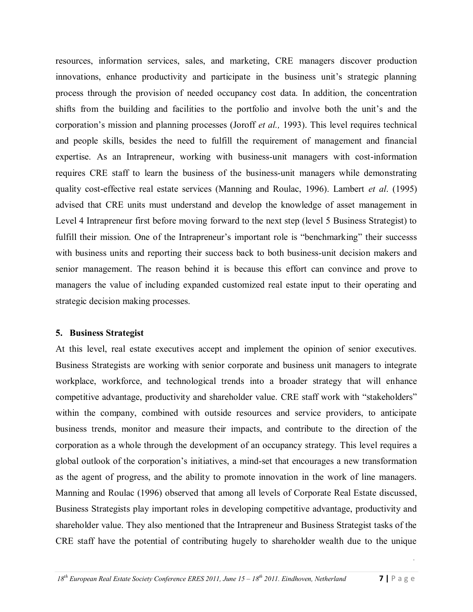resources, information services, sales, and marketing, CRE managers discover production innovations, enhance productivity and participate in the business unit's strategic planning process through the provision of needed occupancy cost data. In addition, the concentration shifts from the building and facilities to the portfolio and involve both the unit's and the corporation"s mission and planning processes (Joroff *et al.,* 1993). This level requires technical and people skills, besides the need to fulfill the requirement of management and financial expertise. As an Intrapreneur, working with business-unit managers with cost-information requires CRE staff to learn the business of the business-unit managers while demonstrating quality cost-effective real estate services (Manning and Roulac, 1996). Lambert *et al*. (1995) advised that CRE units must understand and develop the knowledge of asset management in Level 4 Intrapreneur first before moving forward to the next step (level 5 Business Strategist) to fulfill their mission. One of the Intrapreneur's important role is "benchmarking" their successs with business units and reporting their success back to both business-unit decision makers and senior management. The reason behind it is because this effort can convince and prove to managers the value of including expanded customized real estate input to their operating and strategic decision making processes.

## **5. Business Strategist**

At this level, real estate executives accept and implement the opinion of senior executives. Business Strategists are working with senior corporate and business unit managers to integrate workplace, workforce, and technological trends into a broader strategy that will enhance competitive advantage, productivity and shareholder value. CRE staff work with "stakeholders" within the company, combined with outside resources and service providers, to anticipate business trends, monitor and measure their impacts, and contribute to the direction of the corporation as a whole through the development of an occupancy strategy. This level requires a global outlook of the corporation"s initiatives, a mind-set that encourages a new transformation as the agent of progress, and the ability to promote innovation in the work of line managers. Manning and Roulac (1996) observed that among all levels of Corporate Real Estate discussed, Business Strategists play important roles in developing competitive advantage, productivity and shareholder value. They also mentioned that the Intrapreneur and Business Strategist tasks of the CRE staff have the potential of contributing hugely to shareholder wealth due to the unique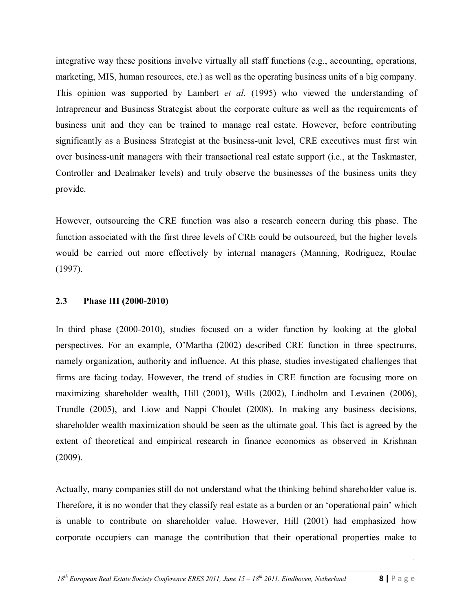integrative way these positions involve virtually all staff functions (e.g., accounting, operations, marketing, MIS, human resources, etc.) as well as the operating business units of a big company. This opinion was supported by Lambert *et al.* (1995) who viewed the understanding of Intrapreneur and Business Strategist about the corporate culture as well as the requirements of business unit and they can be trained to manage real estate. However, before contributing significantly as a Business Strategist at the business-unit level, CRE executives must first win over business-unit managers with their transactional real estate support (i.e., at the Taskmaster, Controller and Dealmaker levels) and truly observe the businesses of the business units they provide.

However, outsourcing the CRE function was also a research concern during this phase. The function associated with the first three levels of CRE could be outsourced, but the higher levels would be carried out more effectively by internal managers (Manning, Rodriguez, Roulac (1997).

#### **2.3 Phase III (2000-2010)**

In third phase (2000-2010), studies focused on a wider function by looking at the global perspectives. For an example, O"Martha (2002) described CRE function in three spectrums, namely organization, authority and influence. At this phase, studies investigated challenges that firms are facing today. However, the trend of studies in CRE function are focusing more on maximizing shareholder wealth, Hill (2001), Wills (2002), Lindholm and Levainen (2006), Trundle (2005), and Liow and Nappi Choulet (2008). In making any business decisions, shareholder wealth maximization should be seen as the ultimate goal. This fact is agreed by the extent of theoretical and empirical research in finance economics as observed in Krishnan (2009).

Actually, many companies still do not understand what the thinking behind shareholder value is. Therefore, it is no wonder that they classify real estate as a burden or an "operational pain" which is unable to contribute on shareholder value. However, Hill (2001) had emphasized how corporate occupiers can manage the contribution that their operational properties make to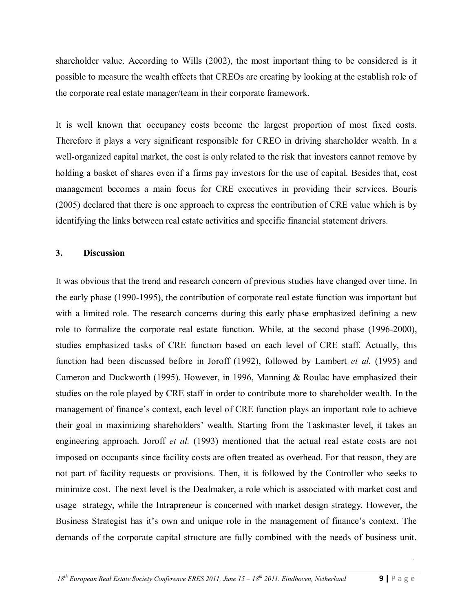shareholder value. According to Wills (2002), the most important thing to be considered is it possible to measure the wealth effects that CREOs are creating by looking at the establish role of the corporate real estate manager/team in their corporate framework.

It is well known that occupancy costs become the largest proportion of most fixed costs. Therefore it plays a very significant responsible for CREO in driving shareholder wealth. In a well-organized capital market, the cost is only related to the risk that investors cannot remove by holding a basket of shares even if a firms pay investors for the use of capital. Besides that, cost management becomes a main focus for CRE executives in providing their services. Bouris (2005) declared that there is one approach to express the contribution of CRE value which is by identifying the links between real estate activities and specific financial statement drivers.

## **3. Discussion**

It was obvious that the trend and research concern of previous studies have changed over time. In the early phase (1990-1995), the contribution of corporate real estate function was important but with a limited role. The research concerns during this early phase emphasized defining a new role to formalize the corporate real estate function. While, at the second phase (1996-2000), studies emphasized tasks of CRE function based on each level of CRE staff. Actually, this function had been discussed before in Joroff (1992), followed by Lambert *et al.* (1995) and Cameron and Duckworth (1995). However, in 1996, Manning & Roulac have emphasized their studies on the role played by CRE staff in order to contribute more to shareholder wealth. In the management of finance's context, each level of CRE function plays an important role to achieve their goal in maximizing shareholders" wealth. Starting from the Taskmaster level, it takes an engineering approach. Joroff *et al.* (1993) mentioned that the actual real estate costs are not imposed on occupants since facility costs are often treated as overhead. For that reason, they are not part of facility requests or provisions. Then, it is followed by the Controller who seeks to minimize cost. The next level is the Dealmaker, a role which is associated with market cost and usage strategy, while the Intrapreneur is concerned with market design strategy. However, the Business Strategist has it's own and unique role in the management of finance's context. The demands of the corporate capital structure are fully combined with the needs of business unit.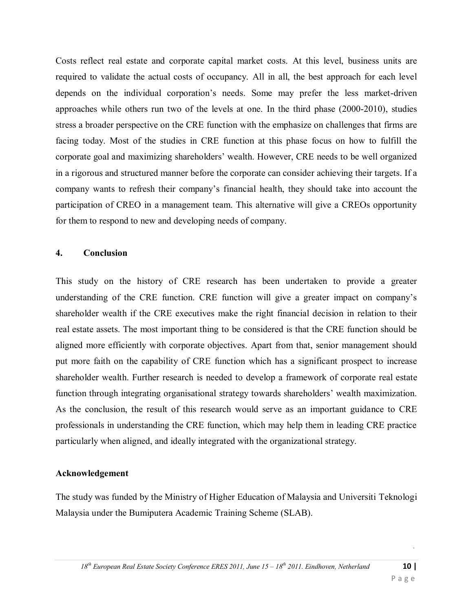Costs reflect real estate and corporate capital market costs. At this level, business units are required to validate the actual costs of occupancy. All in all, the best approach for each level depends on the individual corporation"s needs. Some may prefer the less market-driven approaches while others run two of the levels at one. In the third phase (2000-2010), studies stress a broader perspective on the CRE function with the emphasize on challenges that firms are facing today. Most of the studies in CRE function at this phase focus on how to fulfill the corporate goal and maximizing shareholders' wealth. However, CRE needs to be well organized in a rigorous and structured manner before the corporate can consider achieving their targets. If a company wants to refresh their company"s financial health, they should take into account the participation of CREO in a management team. This alternative will give a CREOs opportunity for them to respond to new and developing needs of company.

## **4. Conclusion**

This study on the history of CRE research has been undertaken to provide a greater understanding of the CRE function. CRE function will give a greater impact on company"s shareholder wealth if the CRE executives make the right financial decision in relation to their real estate assets. The most important thing to be considered is that the CRE function should be aligned more efficiently with corporate objectives. Apart from that, senior management should put more faith on the capability of CRE function which has a significant prospect to increase shareholder wealth. Further research is needed to develop a framework of corporate real estate function through integrating organisational strategy towards shareholders' wealth maximization. As the conclusion, the result of this research would serve as an important guidance to CRE professionals in understanding the CRE function, which may help them in leading CRE practice particularly when aligned, and ideally integrated with the organizational strategy.

## **Acknowledgement**

The study was funded by the Ministry of Higher Education of Malaysia and Universiti Teknologi Malaysia under the Bumiputera Academic Training Scheme (SLAB).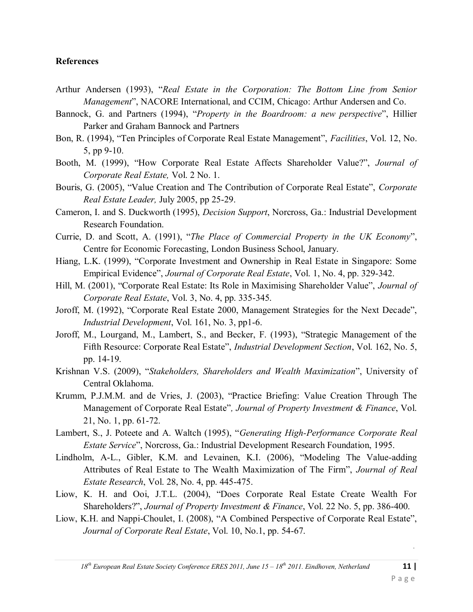#### **References**

- Arthur Andersen (1993), "*Real Estate in the Corporation: The Bottom Line from Senior Management*", NACORE International, and CCIM, Chicago: Arthur Andersen and Co.
- Bannock, G. and Partners (1994), "*Property in the Boardroom: a new perspective*", Hillier Parker and Graham Bannock and Partners
- Bon, R. (1994), "Ten Principles of Corporate Real Estate Management", *Facilities*, Vol. 12, No. 5, pp 9-10.
- Booth, M. (1999), "How Corporate Real Estate Affects Shareholder Value?", *Journal of Corporate Real Estate,* Vol. 2 No. 1.
- Bouris, G. (2005), "Value Creation and The Contribution of Corporate Real Estate", *Corporate Real Estate Leader,* July 2005, pp 25-29.
- Cameron, I. and S. Duckworth (1995), *Decision Support*, Norcross, Ga.: Industrial Development Research Foundation.
- Currie, D. and Scott, A. (1991), "*The Place of Commercial Property in the UK Economy*", Centre for Economic Forecasting, London Business School, January.
- Hiang, L.K. (1999), "Corporate Investment and Ownership in Real Estate in Singapore: Some Empirical Evidence", *Journal of Corporate Real Estate*, Vol. 1, No. 4, pp. 329-342.
- Hill, M. (2001), "Corporate Real Estate: Its Role in Maximising Shareholder Value", *Journal of Corporate Real Estate*, Vol. 3, No. 4, pp. 335-345.
- Joroff, M. (1992), "Corporate Real Estate 2000, Management Strategies for the Next Decade", *Industrial Development*, Vol. 161, No. 3, pp1-6.
- Joroff, M., Lourgand, M., Lambert, S., and Becker, F. (1993), "Strategic Management of the Fifth Resource: Corporate Real Estate", *Industrial Development Section*, Vol. 162, No. 5, pp. 14-19.
- Krishnan V.S. (2009), "*Stakeholders, Shareholders and Wealth Maximization*", University of Central Oklahoma.
- Krumm, P.J.M.M. and de Vries, J. (2003), "Practice Briefing: Value Creation Through The Management of Corporate Real Estate"*, Journal of Property Investment & Finance*, Vol. 21, No. 1, pp. 61-72.
- Lambert, S., J. Poteete and A. Waltch (1995), "*Generating High-Performance Corporate Real Estate Service*", Norcross, Ga.: Industrial Development Research Foundation, 1995.
- Lindholm, A-L., Gibler, K.M. and Levainen, K.I. (2006), "Modeling The Value-adding Attributes of Real Estate to The Wealth Maximization of The Firm", *Journal of Real Estate Research*, Vol. 28, No. 4, pp. 445-475.
- Liow, K. H. and Ooi, J.T.L. (2004), "Does Corporate Real Estate Create Wealth For Shareholders?", *Journal of Property Investment & Finance*, Vol. 22 No. 5, pp. 386-400.
- Liow, K.H. and Nappi-Choulet, I. (2008), "A Combined Perspective of Corporate Real Estate", *Journal of Corporate Real Estate*, Vol. 10, No.1, pp. 54-67.